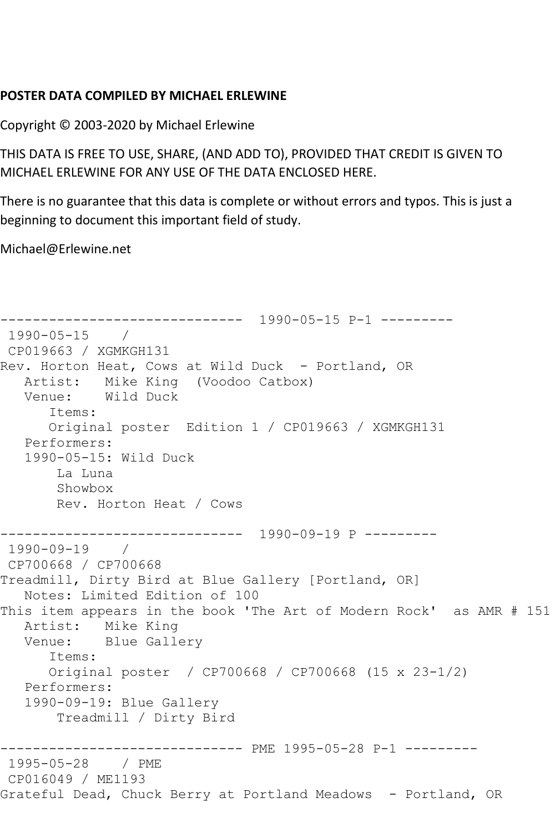## **POSTER DATA COMPILED BY MICHAEL ERLEWINE**

Copyright © 2003-2020 by Michael Erlewine

THIS DATA IS FREE TO USE, SHARE, (AND ADD TO), PROVIDED THAT CREDIT IS GIVEN TO MICHAEL ERLEWINE FOR ANY USE OF THE DATA ENCLOSED HERE.

There is no guarantee that this data is complete or without errors and typos. This is just a beginning to document this important field of study.

Michael@Erlewine.net

```
------------------------------ 1990-05-15 P-1 ---------
1990-05-15 / 
CP019663 / XGMKGH131
Rev. Horton Heat, Cows at Wild Duck - Portland, OR
   Artist: Mike King (Voodoo Catbox)
   Venue: Wild Duck
       Items:
       Original poster Edition 1 / CP019663 / XGMKGH131
   Performers:
    1990-05-15: Wild Duck
        La Luna
        Showbox
        Rev. Horton Heat / Cows
------------------------------ 1990-09-19 P ---------
1990-09-19 / 
CP700668 / CP700668
Treadmill, Dirty Bird at Blue Gallery [Portland, OR]
   Notes: Limited Edition of 100
This item appears in the book 'The Art of Modern Rock' as AMR # 151
  Artist: Mike King<br>Venue: Blue Gall
            Blue Gallery
       Items:
       Original poster / CP700668 / CP700668 (15 x 23-1/2)
   Performers:
   1990-09-19: Blue Gallery
        Treadmill / Dirty Bird
                   ------------------------------ PME 1995-05-28 P-1 ---------
1995-05-28 / PME 
CP016049 / ME1193
Grateful Dead, Chuck Berry at Portland Meadows - Portland, OR
```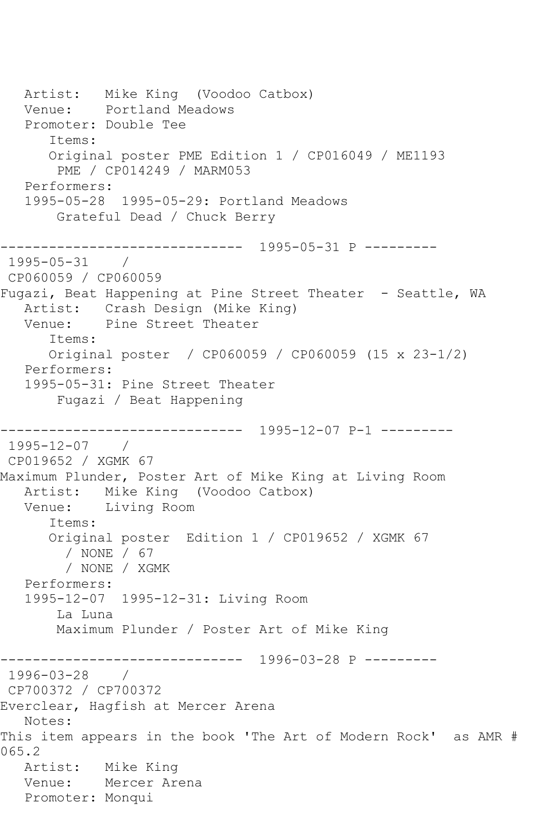Artist: Mike King (Voodoo Catbox)<br>Venue: Portland Meadows Portland Meadows Promoter: Double Tee Items: Original poster PME Edition 1 / CP016049 / ME1193 PME / CP014249 / MARM053 Performers: 1995-05-28 1995-05-29: Portland Meadows Grateful Dead / Chuck Berry ------------------------------ 1995-05-31 P --------- 1995-05-31 / CP060059 / CP060059 Fugazi, Beat Happening at Pine Street Theater - Seattle, WA Artist: Crash Design (Mike King) Venue: Pine Street Theater Items: Original poster / CP060059 / CP060059 (15 x 23-1/2) Performers: 1995-05-31: Pine Street Theater Fugazi / Beat Happening ------------------------------ 1995-12-07 P-1 --------- 1995-12-07 / CP019652 / XGMK 67 Maximum Plunder, Poster Art of Mike King at Living Room Artist: Mike King (Voodoo Catbox) Venue: Living Room Items: Original poster Edition 1 / CP019652 / XGMK 67 / NONE / 67 / NONE / XGMK Performers: 1995-12-07 1995-12-31: Living Room La Luna Maximum Plunder / Poster Art of Mike King ------------------------------ 1996-03-28 P --------- 1996-03-28 / CP700372 / CP700372 Everclear, Hagfish at Mercer Arena Notes: This item appears in the book 'The Art of Modern Rock' as AMR # 065.2 Artist: Mike King Venue: Mercer Arena Promoter: Monqui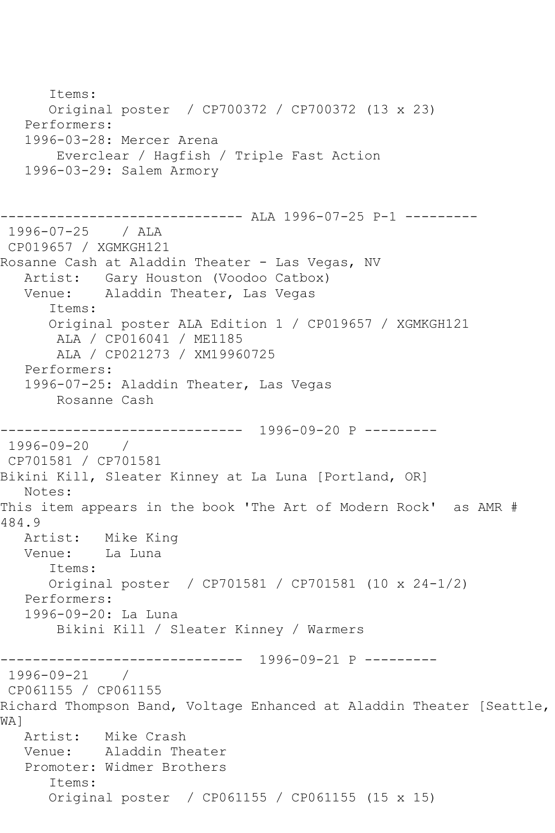Items: Original poster / CP700372 / CP700372 (13 x 23) Performers: 1996-03-28: Mercer Arena Everclear / Hagfish / Triple Fast Action 1996-03-29: Salem Armory ----------------- ALA 1996-07-25 P-1 ---------1996-07-25 / ALA CP019657 / XGMKGH121 Rosanne Cash at Aladdin Theater - Las Vegas, NV Artist: Gary Houston (Voodoo Catbox) Venue: Aladdin Theater, Las Vegas Items: Original poster ALA Edition 1 / CP019657 / XGMKGH121 ALA / CP016041 / ME1185 ALA / CP021273 / XM19960725 Performers: 1996-07-25: Aladdin Theater, Las Vegas Rosanne Cash ------------------------------ 1996-09-20 P --------- 1996-09-20 / CP701581 / CP701581 Bikini Kill, Sleater Kinney at La Luna [Portland, OR] Notes: This item appears in the book 'The Art of Modern Rock' as AMR # 484.9 Artist: Mike King<br>Venue: La Luna Venue: Items: Original poster / CP701581 / CP701581 (10 x 24-1/2) Performers: 1996-09-20: La Luna Bikini Kill / Sleater Kinney / Warmers ------------------------------ 1996-09-21 P --------- 1996-09-21 / CP061155 / CP061155 Richard Thompson Band, Voltage Enhanced at Aladdin Theater [Seattle, WA]<br>Artist: Mike Crash Venue: Aladdin Theater Promoter: Widmer Brothers Items: Original poster / CP061155 / CP061155 (15 x 15)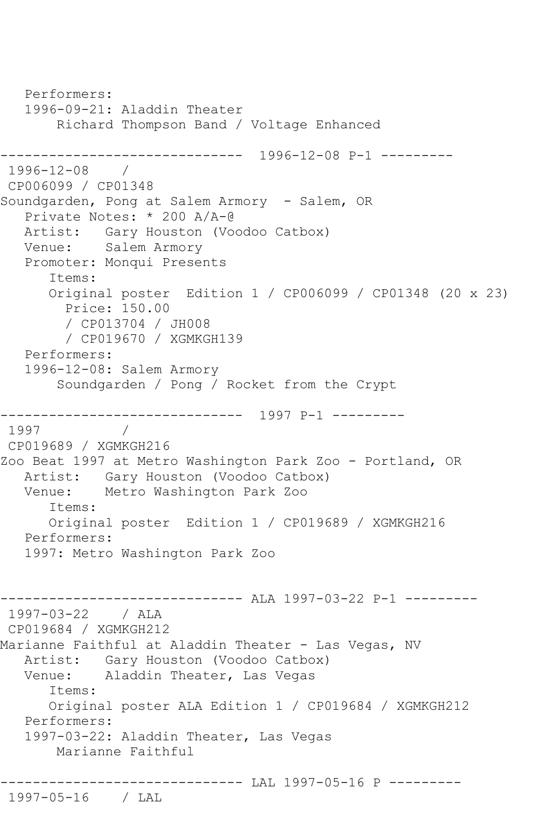```
 Performers:
   1996-09-21: Aladdin Theater
        Richard Thompson Band / Voltage Enhanced
------------------------------ 1996-12-08 P-1 ---------
1996-12-08 / 
CP006099 / CP01348
Soundgarden, Pong at Salem Armory - Salem, OR
    Private Notes: * 200 A/A-@
   Artist: Gary Houston (Voodoo Catbox)
   Venue: Salem Armory
    Promoter: Monqui Presents
       Items:
       Original poster Edition 1 / CP006099 / CP01348 (20 x 23)
         Price: 150.00
         / CP013704 / JH008
         / CP019670 / XGMKGH139
    Performers:
   1996-12-08: Salem Armory
        Soundgarden / Pong / Rocket from the Crypt
     ------------------------------ 1997 P-1 ---------
1997 / 
CP019689 / XGMKGH216
Zoo Beat 1997 at Metro Washington Park Zoo - Portland, OR
  Artist: Gary Houston (Voodoo Catbox)<br>Venue: Metro Washington Park Zoo
           Metro Washington Park Zoo
       Items:
       Original poster Edition 1 / CP019689 / XGMKGH216
   Performers:
    1997: Metro Washington Park Zoo
------------------------------ ALA 1997-03-22 P-1 ---------
1997-03-22 / ALA 
CP019684 / XGMKGH212
Marianne Faithful at Aladdin Theater - Las Vegas, NV
   Artist: Gary Houston (Voodoo Catbox)
   Venue: Aladdin Theater, Las Vegas
       Items:
       Original poster ALA Edition 1 / CP019684 / XGMKGH212
   Performers:
    1997-03-22: Aladdin Theater, Las Vegas
        Marianne Faithful
------------------------------ LAL 1997-05-16 P ---------
```

```
1997-05-16 / LAL
```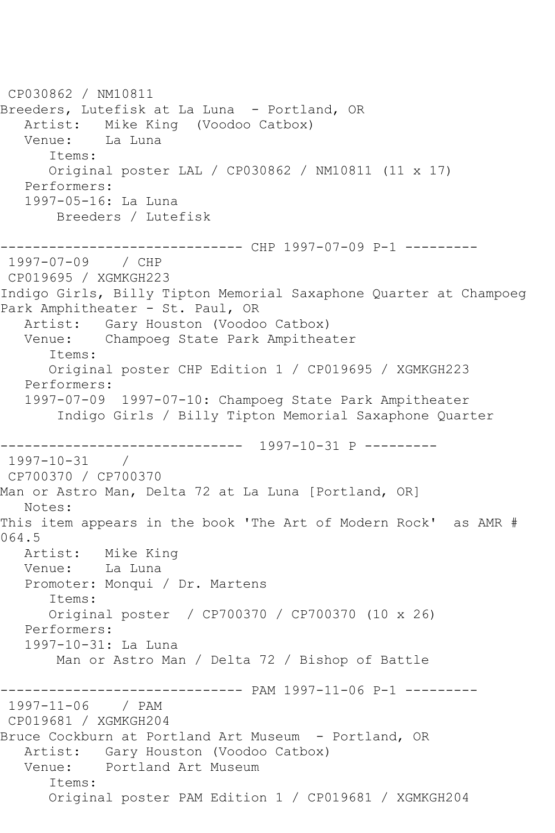CP030862 / NM10811 Breeders, Lutefisk at La Luna - Portland, OR Artist: Mike King (Voodoo Catbox) Venue: La Luna Items: Original poster LAL / CP030862 / NM10811 (11 x 17) Performers: 1997-05-16: La Luna Breeders / Lutefisk ------------------------------ CHP 1997-07-09 P-1 --------- 1997-07-09 / CHP CP019695 / XGMKGH223 Indigo Girls, Billy Tipton Memorial Saxaphone Quarter at Champoeg Park Amphitheater - St. Paul, OR Artist: Gary Houston (Voodoo Catbox) Venue: Champoeg State Park Ampitheater Items: Original poster CHP Edition 1 / CP019695 / XGMKGH223 Performers: 1997-07-09 1997-07-10: Champoeg State Park Ampitheater Indigo Girls / Billy Tipton Memorial Saxaphone Quarter ------------------------------ 1997-10-31 P --------- 1997-10-31 / CP700370 / CP700370 Man or Astro Man, Delta 72 at La Luna [Portland, OR] Notes: This item appears in the book 'The Art of Modern Rock' as AMR # 064.5<br>: Artist Mike King Venue: La Luna Promoter: Monqui / Dr. Martens Items: Original poster / CP700370 / CP700370 (10 x 26) Performers: 1997-10-31: La Luna Man or Astro Man / Delta 72 / Bishop of Battle ------------------------------ PAM 1997-11-06 P-1 --------- 1997-11-06 / PAM CP019681 / XGMKGH204 Bruce Cockburn at Portland Art Museum - Portland, OR Artist: Gary Houston (Voodoo Catbox) Venue: Portland Art Museum Items: Original poster PAM Edition 1 / CP019681 / XGMKGH204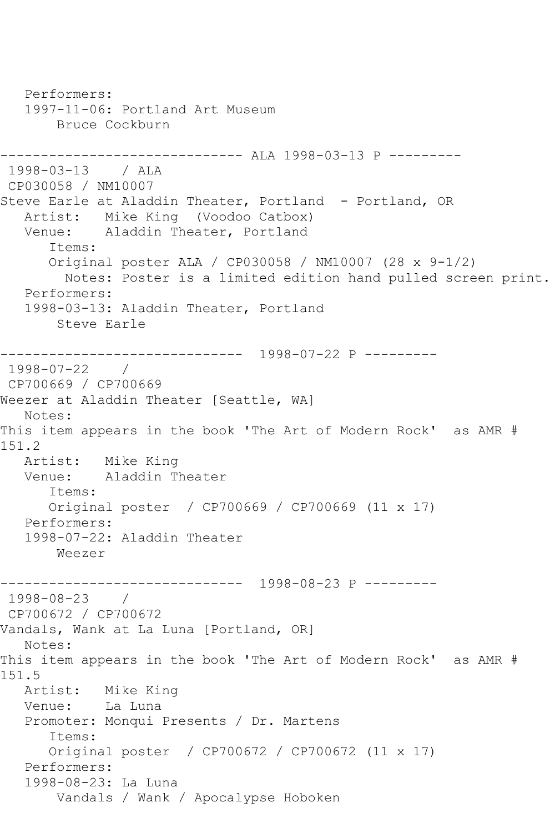Performers: 1997-11-06: Portland Art Museum Bruce Cockburn ------------------------------ ALA 1998-03-13 P --------- 1998-03-13 / ALA CP030058 / NM10007 Steve Earle at Aladdin Theater, Portland - Portland, OR Artist: Mike King (Voodoo Catbox) Venue: Aladdin Theater, Portland Items: Original poster ALA / CP030058 / NM10007 (28 x 9-1/2) Notes: Poster is a limited edition hand pulled screen print. Performers: 1998-03-13: Aladdin Theater, Portland Steve Earle ------------------------------ 1998-07-22 P --------- 1998-07-22 / CP700669 / CP700669 Weezer at Aladdin Theater [Seattle, WA] Notes: This item appears in the book 'The Art of Modern Rock' as AMR # 151.2 Artist: Mike King<br>Venue: Aladdin T Aladdin Theater Items: Original poster / CP700669 / CP700669 (11 x 17) Performers: 1998-07-22: Aladdin Theater Weezer ------------------------------ 1998-08-23 P --------- 1998-08-23 / CP700672 / CP700672 Vandals, Wank at La Luna [Portland, OR] Notes: This item appears in the book 'The Art of Modern Rock' as AMR # 151.5<br>: Artist Mike King Venue: La Luna Promoter: Monqui Presents / Dr. Martens Items: Original poster / CP700672 / CP700672 (11 x 17) Performers: 1998-08-23: La Luna Vandals / Wank / Apocalypse Hoboken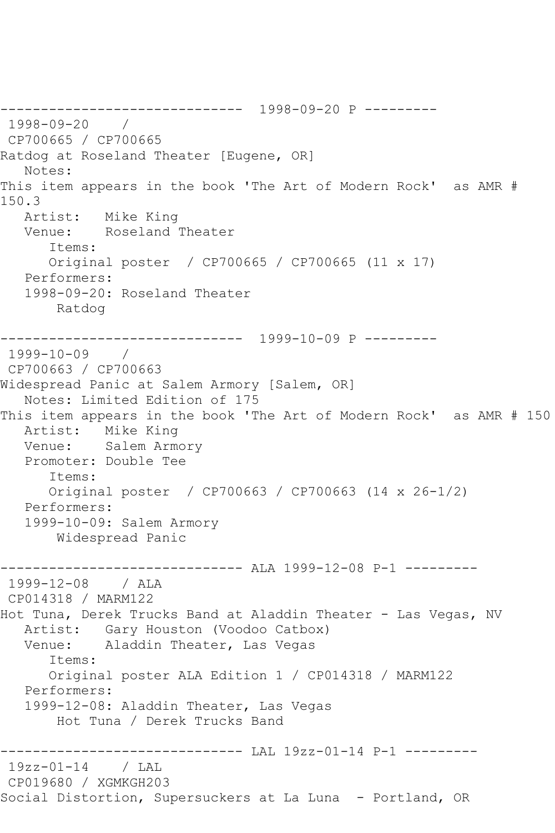------------------------------ 1998-09-20 P --------- 1998-09-20 / CP700665 / CP700665 Ratdog at Roseland Theater [Eugene, OR] Notes: This item appears in the book 'The Art of Modern Rock' as AMR # 150.3 Artist: Mike King Venue: Roseland Theater Items: Original poster / CP700665 / CP700665 (11 x 17) Performers: 1998-09-20: Roseland Theater Ratdog ------------------------------ 1999-10-09 P --------- 1999-10-09 / CP700663 / CP700663 Widespread Panic at Salem Armory [Salem, OR] Notes: Limited Edition of 175 This item appears in the book 'The Art of Modern Rock' as AMR # 150 Artist: Mike King Venue: Salem Armory Promoter: Double Tee Items: Original poster / CP700663 / CP700663 (14 x 26-1/2) Performers: 1999-10-09: Salem Armory Widespread Panic ------------------------------ ALA 1999-12-08 P-1 --------- 1999-12-08 / ALA CP014318 / MARM122 Hot Tuna, Derek Trucks Band at Aladdin Theater - Las Vegas, NV Artist: Gary Houston (Voodoo Catbox)<br>Venue: Aladdin Theater, Las Vegas Aladdin Theater, Las Vegas Items: Original poster ALA Edition 1 / CP014318 / MARM122 Performers: 1999-12-08: Aladdin Theater, Las Vegas Hot Tuna / Derek Trucks Band ------------------------------ LAL 19zz-01-14 P-1 --------- 19zz-01-14 / LAL CP019680 / XGMKGH203 Social Distortion, Supersuckers at La Luna - Portland, OR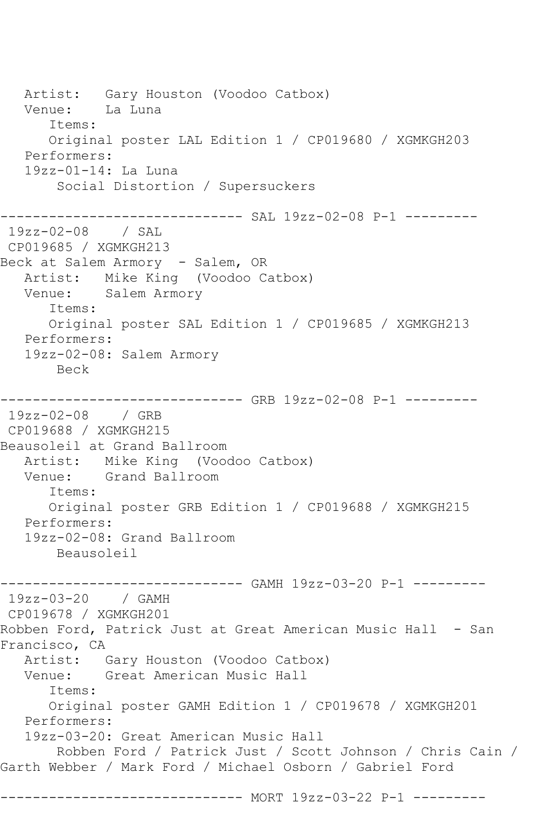Artist: Gary Houston (Voodoo Catbox)<br>Venue: La Luna Venue: Items: Original poster LAL Edition 1 / CP019680 / XGMKGH203 Performers: 19zz-01-14: La Luna Social Distortion / Supersuckers ------------------------------ SAL 19zz-02-08 P-1 --------- 19zz-02-08 / SAL CP019685 / XGMKGH213 Beck at Salem Armory - Salem, OR Artist: Mike King (Voodoo Catbox) Venue: Salem Armory Items: Original poster SAL Edition 1 / CP019685 / XGMKGH213 Performers: 19zz-02-08: Salem Armory Beck ------------------------------ GRB 19zz-02-08 P-1 --------- 19zz-02-08 / GRB CP019688 / XGMKGH215 Beausoleil at Grand Ballroom Artist: Mike King (Voodoo Catbox) Venue: Grand Ballroom Items: Original poster GRB Edition 1 / CP019688 / XGMKGH215 Performers: 19zz-02-08: Grand Ballroom Beausoleil ------------------------------ GAMH 19zz-03-20 P-1 --------- 19zz-03-20 / GAMH CP019678 / XGMKGH201 Robben Ford, Patrick Just at Great American Music Hall - San Francisco, CA Artist: Gary Houston (Voodoo Catbox) Venue: Great American Music Hall Items: Original poster GAMH Edition 1 / CP019678 / XGMKGH201 Performers: 19zz-03-20: Great American Music Hall Robben Ford / Patrick Just / Scott Johnson / Chris Cain / Garth Webber / Mark Ford / Michael Osborn / Gabriel Ford ----------------- MORT 19zz-03-22 P-1 ---------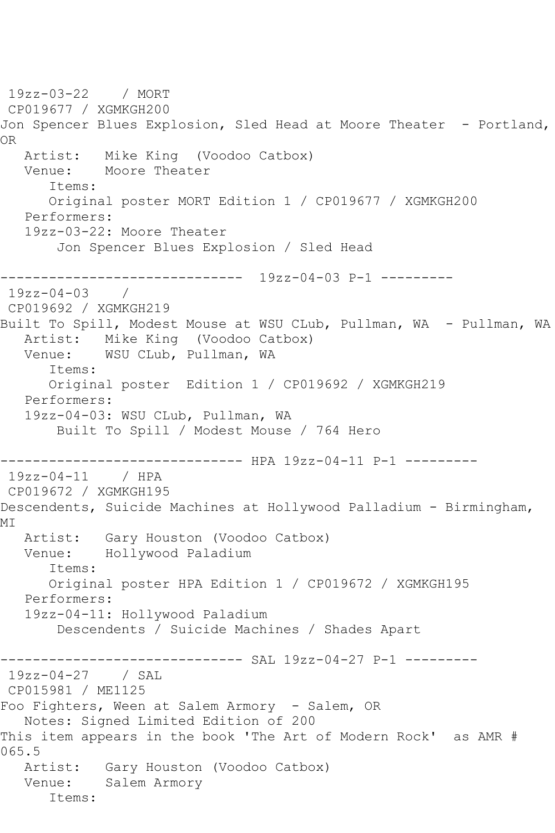19zz-03-22 / MORT CP019677 / XGMKGH200 Jon Spencer Blues Explosion, Sled Head at Moore Theater - Portland, OR Artist: Mike King (Voodoo Catbox) Venue: Moore Theater Items: Original poster MORT Edition 1 / CP019677 / XGMKGH200 Performers: 19zz-03-22: Moore Theater Jon Spencer Blues Explosion / Sled Head ------------------------------ 19zz-04-03 P-1 --------- 19zz-04-03 / CP019692 / XGMKGH219 Built To Spill, Modest Mouse at WSU CLub, Pullman, WA - Pullman, WA Artist: Mike King (Voodoo Catbox) Venue: WSU CLub, Pullman, WA Items: Original poster Edition 1 / CP019692 / XGMKGH219 Performers: 19zz-04-03: WSU CLub, Pullman, WA Built To Spill / Modest Mouse / 764 Hero -------------------- HPA 19zz-04-11 P-1 ---------19zz-04-11 / HPA CP019672 / XGMKGH195 Descendents, Suicide Machines at Hollywood Palladium - Birmingham, MI Artist: Gary Houston (Voodoo Catbox) Venue: Hollywood Paladium Items: Original poster HPA Edition 1 / CP019672 / XGMKGH195 Performers: 19zz-04-11: Hollywood Paladium Descendents / Suicide Machines / Shades Apart ----------- SAL 19zz-04-27 P-1 ---------19zz-04-27 / SAL CP015981 / ME1125 Foo Fighters, Ween at Salem Armory - Salem, OR Notes: Signed Limited Edition of 200 This item appears in the book 'The Art of Modern Rock' as AMR # 065.5 Artist: Gary Houston (Voodoo Catbox) Venue: Salem Armory Items: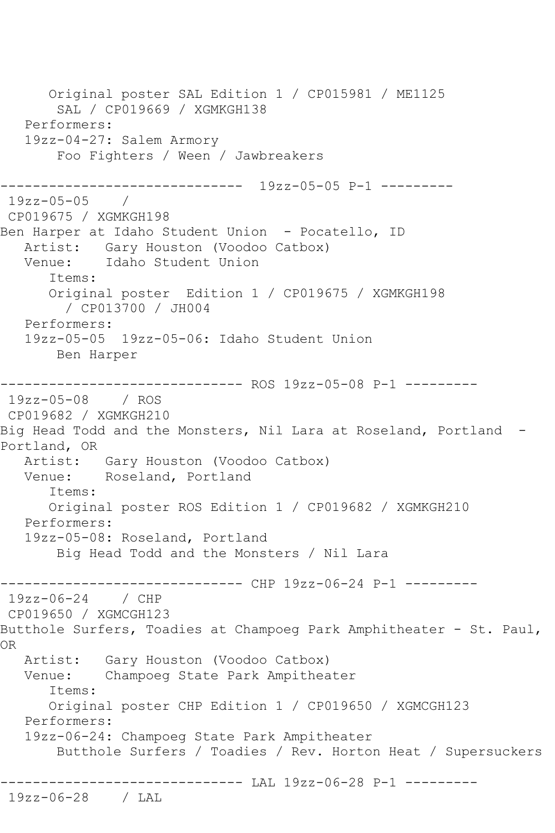Original poster SAL Edition 1 / CP015981 / ME1125 SAL / CP019669 / XGMKGH138 Performers: 19zz-04-27: Salem Armory Foo Fighters / Ween / Jawbreakers ------------------------------ 19zz-05-05 P-1 --------- 19zz-05-05 / CP019675 / XGMKGH198 Ben Harper at Idaho Student Union - Pocatello, ID Artist: Gary Houston (Voodoo Catbox) Venue: Idaho Student Union Items: Original poster Edition 1 / CP019675 / XGMKGH198 / CP013700 / JH004 Performers: 19zz-05-05 19zz-05-06: Idaho Student Union Ben Harper ------------------------------ ROS 19zz-05-08 P-1 --------- 19zz-05-08 / ROS CP019682 / XGMKGH210 Big Head Todd and the Monsters, Nil Lara at Roseland, Portland -Portland, OR Artist: Gary Houston (Voodoo Catbox)<br>Venue: Roseland, Portland Roseland, Portland Items: Original poster ROS Edition 1 / CP019682 / XGMKGH210 Performers: 19zz-05-08: Roseland, Portland Big Head Todd and the Monsters / Nil Lara ------------------------------ CHP 19zz-06-24 P-1 --------- 19zz-06-24 / CHP CP019650 / XGMCGH123 Butthole Surfers, Toadies at Champoeg Park Amphitheater - St. Paul, OR Artist: Gary Houston (Voodoo Catbox) Venue: Champoeg State Park Ampitheater Items: Original poster CHP Edition 1 / CP019650 / XGMCGH123 Performers: 19zz-06-24: Champoeg State Park Ampitheater Butthole Surfers / Toadies / Rev. Horton Heat / Supersuckers ------------------------------ LAL 19zz-06-28 P-1 --------- 19zz-06-28 / LAL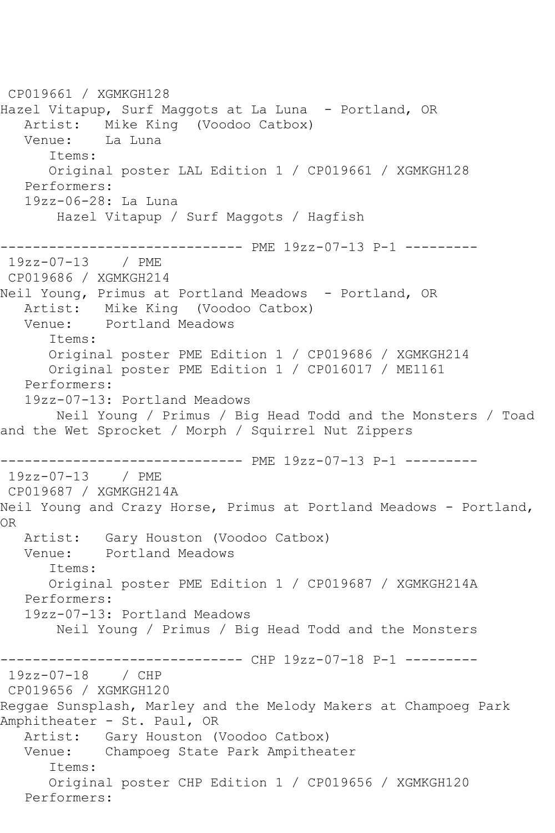CP019661 / XGMKGH128 Hazel Vitapup, Surf Maggots at La Luna - Portland, OR Artist: Mike King (Voodoo Catbox) Venue: La Luna Items: Original poster LAL Edition 1 / CP019661 / XGMKGH128 Performers: 19zz-06-28: La Luna Hazel Vitapup / Surf Maggots / Hagfish ------------------------------ PME 19zz-07-13 P-1 --------- 19zz-07-13 / PME CP019686 / XGMKGH214 Neil Young, Primus at Portland Meadows - Portland, OR Artist: Mike King (Voodoo Catbox) Venue: Portland Meadows Items: Original poster PME Edition 1 / CP019686 / XGMKGH214 Original poster PME Edition 1 / CP016017 / ME1161 Performers: 19zz-07-13: Portland Meadows Neil Young / Primus / Big Head Todd and the Monsters / Toad and the Wet Sprocket / Morph / Squirrel Nut Zippers ------------------------------ PME 19zz-07-13 P-1 --------- 19zz-07-13 / PME CP019687 / XGMKGH214A Neil Young and Crazy Horse, Primus at Portland Meadows - Portland, OR Artist: Gary Houston (Voodoo Catbox)<br>Venue: Portland Meadows Portland Meadows Items: Original poster PME Edition 1 / CP019687 / XGMKGH214A Performers: 19zz-07-13: Portland Meadows Neil Young / Primus / Big Head Todd and the Monsters ----------- CHP 19zz-07-18 P-1 ---------19zz-07-18 / CHP CP019656 / XGMKGH120 Reggae Sunsplash, Marley and the Melody Makers at Champoeg Park Amphitheater - St. Paul, OR Artist: Gary Houston (Voodoo Catbox)<br>Venue: Champoeg State Park Ampithea Champoeg State Park Ampitheater Items: Original poster CHP Edition 1 / CP019656 / XGMKGH120 Performers: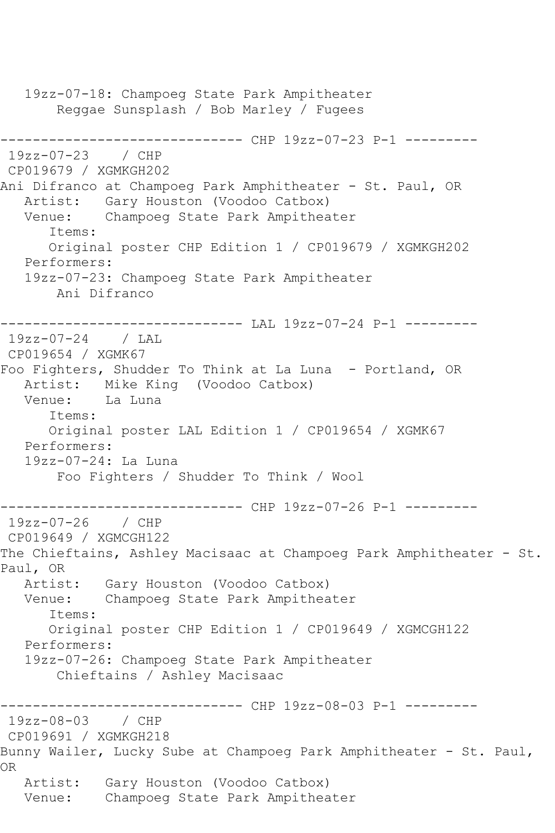19zz-07-18: Champoeg State Park Ampitheater Reggae Sunsplash / Bob Marley / Fugees ------------------------------ CHP 19zz-07-23 P-1 --------- 19zz-07-23 / CHP CP019679 / XGMKGH202 Ani Difranco at Champoeg Park Amphitheater - St. Paul, OR Artist: Gary Houston (Voodoo Catbox) Venue: Champoeg State Park Ampitheater Items: Original poster CHP Edition 1 / CP019679 / XGMKGH202 Performers: 19zz-07-23: Champoeg State Park Ampitheater Ani Difranco ------------------------------ LAL 19zz-07-24 P-1 --------- 19zz-07-24 / LAL CP019654 / XGMK67 Foo Fighters, Shudder To Think at La Luna - Portland, OR Artist: Mike King (Voodoo Catbox) Venue: La Luna Items: Original poster LAL Edition 1 / CP019654 / XGMK67 Performers: 19zz-07-24: La Luna Foo Fighters / Shudder To Think / Wool ------------------------------ CHP 19zz-07-26 P-1 --------- 19zz-07-26 / CHP CP019649 / XGMCGH122 The Chieftains, Ashley Macisaac at Champoeg Park Amphitheater - St. Paul, OR Artist: Gary Houston (Voodoo Catbox)<br>Venue: Champoeg State Park Ampithea Champoeg State Park Ampitheater Items: Original poster CHP Edition 1 / CP019649 / XGMCGH122 Performers: 19zz-07-26: Champoeg State Park Ampitheater Chieftains / Ashley Macisaac ------------------------------ CHP 19zz-08-03 P-1 --------- 19zz-08-03 / CHP CP019691 / XGMKGH218 Bunny Wailer, Lucky Sube at Champoeg Park Amphitheater - St. Paul, OR Artist: Gary Houston (Voodoo Catbox) Venue: Champoeg State Park Ampitheater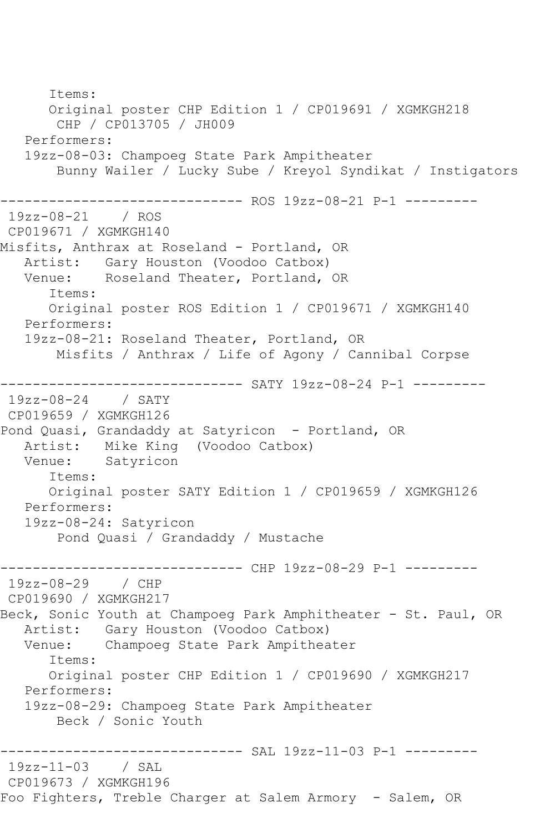Items: Original poster CHP Edition 1 / CP019691 / XGMKGH218 CHP / CP013705 / JH009 Performers: 19zz-08-03: Champoeg State Park Ampitheater Bunny Wailer / Lucky Sube / Kreyol Syndikat / Instigators ------------------------------ ROS 19zz-08-21 P-1 --------- 19zz-08-21 / ROS CP019671 / XGMKGH140 Misfits, Anthrax at Roseland - Portland, OR Artist: Gary Houston (Voodoo Catbox)<br>Venue: Roseland Theater, Portland, Roseland Theater, Portland, OR Items: Original poster ROS Edition 1 / CP019671 / XGMKGH140 Performers: 19zz-08-21: Roseland Theater, Portland, OR Misfits / Anthrax / Life of Agony / Cannibal Corpse ------------------------------ SATY 19zz-08-24 P-1 --------- 19zz-08-24 / SATY CP019659 / XGMKGH126 Pond Quasi, Grandaddy at Satyricon - Portland, OR Artist: Mike King (Voodoo Catbox) Venue: Satyricon Items: Original poster SATY Edition 1 / CP019659 / XGMKGH126 Performers: 19zz-08-24: Satyricon Pond Quasi / Grandaddy / Mustache -------------- CHP 19zz-08-29 P-1 ---------19zz-08-29 / CHP CP019690 / XGMKGH217 Beck, Sonic Youth at Champoeg Park Amphitheater - St. Paul, OR Artist: Gary Houston (Voodoo Catbox)<br>Venue: Champoeg State Park Ampithea Champoeg State Park Ampitheater Items: Original poster CHP Edition 1 / CP019690 / XGMKGH217 Performers: 19zz-08-29: Champoeg State Park Ampitheater Beck / Sonic Youth ------------------------------ SAL 19zz-11-03 P-1 --------- 19zz-11-03 / SAL CP019673 / XGMKGH196 Foo Fighters, Treble Charger at Salem Armory - Salem, OR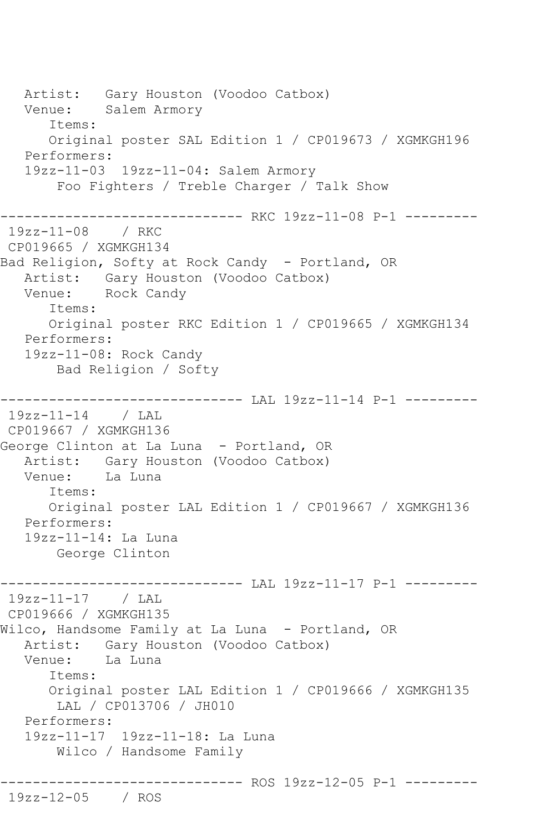Artist: Gary Houston (Voodoo Catbox) Venue: Salem Armory Items: Original poster SAL Edition 1 / CP019673 / XGMKGH196 Performers: 19zz-11-03 19zz-11-04: Salem Armory Foo Fighters / Treble Charger / Talk Show ------------------------------ RKC 19zz-11-08 P-1 --------- 19zz-11-08 / RKC CP019665 / XGMKGH134 Bad Religion, Softy at Rock Candy - Portland, OR Artist: Gary Houston (Voodoo Catbox) Venue: Rock Candy Items: Original poster RKC Edition 1 / CP019665 / XGMKGH134 Performers: 19zz-11-08: Rock Candy Bad Religion / Softy ------------------------------ LAL 19zz-11-14 P-1 --------- 19zz-11-14 / LAL CP019667 / XGMKGH136 George Clinton at La Luna - Portland, OR Artist: Gary Houston (Voodoo Catbox)<br>Venue: La Luna La Luna Items: Original poster LAL Edition 1 / CP019667 / XGMKGH136 Performers: 19zz-11-14: La Luna George Clinton ------------------------------ LAL 19zz-11-17 P-1 --------- 19zz-11-17 / LAL CP019666 / XGMKGH135 Wilco, Handsome Family at La Luna - Portland, OR Artist: Gary Houston (Voodoo Catbox) Venue: La Luna Items: Original poster LAL Edition 1 / CP019666 / XGMKGH135 LAL / CP013706 / JH010 Performers: 19zz-11-17 19zz-11-18: La Luna Wilco / Handsome Family ------------------------------ ROS 19zz-12-05 P-1 --------- 19zz-12-05 / ROS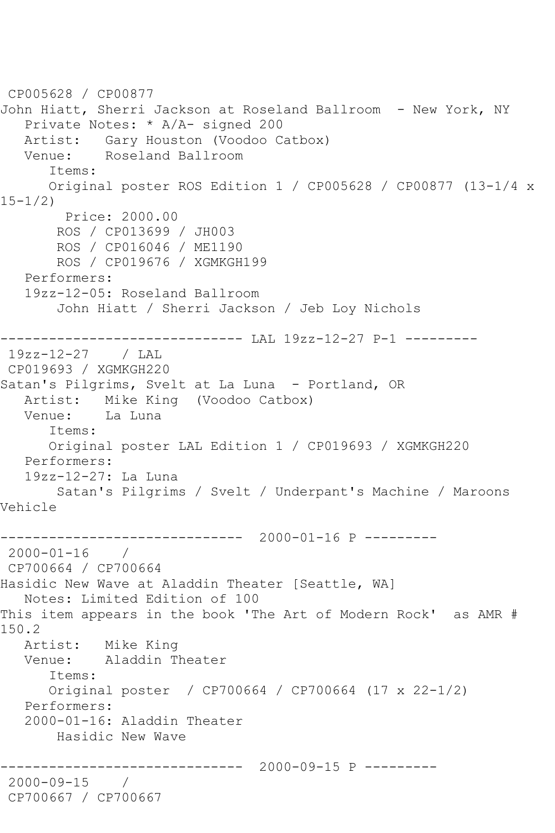CP005628 / CP00877 John Hiatt, Sherri Jackson at Roseland Ballroom - New York, NY Private Notes: \* A/A- signed 200 Artist: Gary Houston (Voodoo Catbox)<br>Venue: Roseland Ballroom Roseland Ballroom Items: Original poster ROS Edition 1 / CP005628 / CP00877 (13-1/4 x 15-1/2) Price: 2000.00 ROS / CP013699 / JH003 ROS / CP016046 / ME1190 ROS / CP019676 / XGMKGH199 Performers: 19zz-12-05: Roseland Ballroom John Hiatt / Sherri Jackson / Jeb Loy Nichols ------------------------------ LAL 19zz-12-27 P-1 --------- 19zz-12-27 / LAL CP019693 / XGMKGH220 Satan's Pilgrims, Svelt at La Luna - Portland, OR Artist: Mike King (Voodoo Catbox) Venue: La Luna Items: Original poster LAL Edition 1 / CP019693 / XGMKGH220 Performers: 19zz-12-27: La Luna Satan's Pilgrims / Svelt / Underpant's Machine / Maroons Vehicle ------------------------------ 2000-01-16 P --------- 2000-01-16 / CP700664 / CP700664 Hasidic New Wave at Aladdin Theater [Seattle, WA] Notes: Limited Edition of 100 This item appears in the book 'The Art of Modern Rock' as AMR # 150.2<br>Artist: Mike King Venue: Aladdin Theater Items: Original poster / CP700664 / CP700664 (17 x 22-1/2) Performers: 2000-01-16: Aladdin Theater Hasidic New Wave ------------------------------ 2000-09-15 P --------- 2000-09-15 / CP700667 / CP700667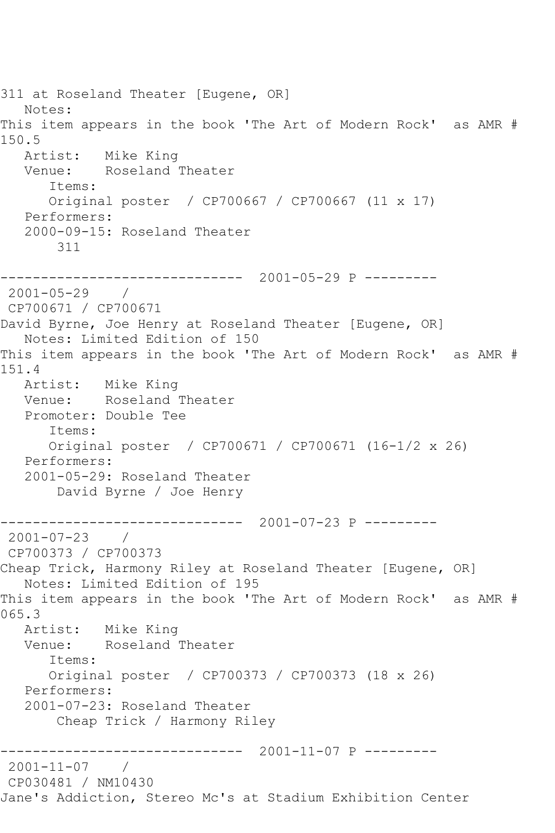311 at Roseland Theater [Eugene, OR] Notes: This item appears in the book 'The Art of Modern Rock' as AMR # 150.5<br>Artist: Mike King Venue: Roseland Theater Items: Original poster / CP700667 / CP700667 (11 x 17) Performers: 2000-09-15: Roseland Theater 311 ------------------------------ 2001-05-29 P --------- 2001-05-29 / CP700671 / CP700671 David Byrne, Joe Henry at Roseland Theater [Eugene, OR] Notes: Limited Edition of 150 This item appears in the book 'The Art of Modern Rock' as AMR # 151.4 Artist: Mike King Venue: Roseland Theater Promoter: Double Tee Items: Original poster / CP700671 / CP700671 (16-1/2 x 26) Performers: 2001-05-29: Roseland Theater David Byrne / Joe Henry ------------------------------ 2001-07-23 P --------- 2001-07-23 / CP700373 / CP700373 Cheap Trick, Harmony Riley at Roseland Theater [Eugene, OR] Notes: Limited Edition of 195 This item appears in the book 'The Art of Modern Rock' as AMR # 065.3 Artist: Mike King Venue: Roseland Theater Items: Original poster / CP700373 / CP700373 (18 x 26) Performers: 2001-07-23: Roseland Theater Cheap Trick / Harmony Riley ------------------------------ 2001-11-07 P --------- 2001-11-07 / CP030481 / NM10430 Jane's Addiction, Stereo Mc's at Stadium Exhibition Center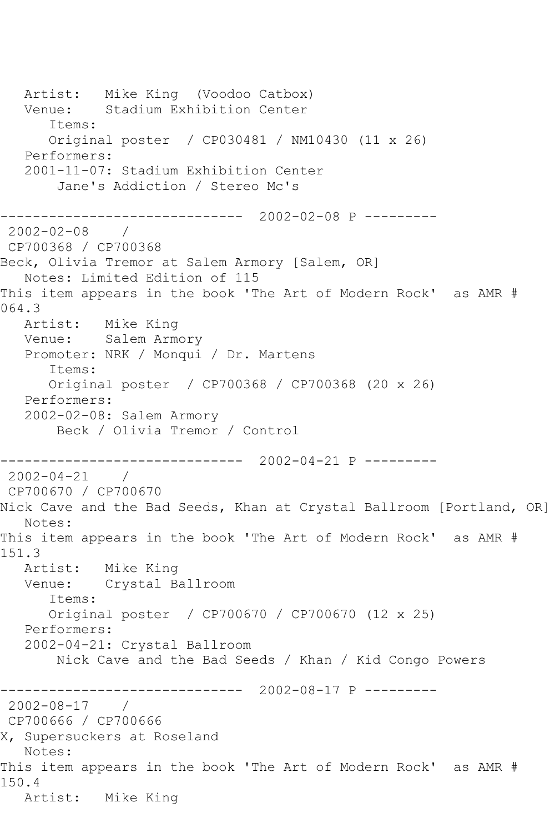Artist: Mike King (Voodoo Catbox) Venue: Stadium Exhibition Center Items: Original poster / CP030481 / NM10430 (11 x 26) Performers: 2001-11-07: Stadium Exhibition Center Jane's Addiction / Stereo Mc's ------------------------------ 2002-02-08 P ---------  $2002 - 02 - 08$ CP700368 / CP700368 Beck, Olivia Tremor at Salem Armory [Salem, OR] Notes: Limited Edition of 115 This item appears in the book 'The Art of Modern Rock' as AMR # 064.3 Artist: Mike King Venue: Salem Armory Promoter: NRK / Monqui / Dr. Martens Items: Original poster / CP700368 / CP700368 (20 x 26) Performers: 2002-02-08: Salem Armory Beck / Olivia Tremor / Control ------------------------------ 2002-04-21 P --------- 2002-04-21 / CP700670 / CP700670 Nick Cave and the Bad Seeds, Khan at Crystal Ballroom [Portland, OR] Notes: This item appears in the book 'The Art of Modern Rock' as AMR # 151.3 Artist: Mike King Venue: Crystal Ballroom Items: Original poster / CP700670 / CP700670 (12 x 25) Performers: 2002-04-21: Crystal Ballroom Nick Cave and the Bad Seeds / Khan / Kid Congo Powers ------------------------------ 2002-08-17 P --------- 2002-08-17 / CP700666 / CP700666 X, Supersuckers at Roseland Notes: This item appears in the book 'The Art of Modern Rock' as AMR # 150.4 Artist: Mike King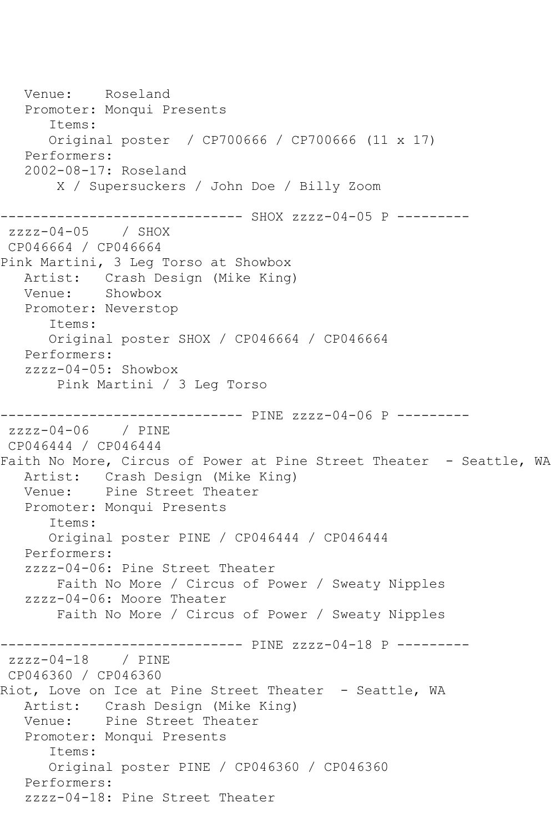Venue: Roseland Promoter: Monqui Presents Items: Original poster / CP700666 / CP700666 (11 x 17) Performers: 2002-08-17: Roseland X / Supersuckers / John Doe / Billy Zoom ------------------------------ SHOX zzzz-04-05 P -------- zzzz-04-05 / SHOX CP046664 / CP046664 Pink Martini, 3 Leg Torso at Showbox Artist: Crash Design (Mike King) Venue: Showbox Promoter: Neverstop Items: Original poster SHOX / CP046664 / CP046664 Performers: zzzz-04-05: Showbox Pink Martini / 3 Leg Torso ------------------------------ PINE zzzz-04-06 P -------- zzzz-04-06 / PINE CP046444 / CP046444 Faith No More, Circus of Power at Pine Street Theater - Seattle, WA Artist: Crash Design (Mike King) Venue: Pine Street Theater Promoter: Monqui Presents Items: Original poster PINE / CP046444 / CP046444 Performers: zzzz-04-06: Pine Street Theater Faith No More / Circus of Power / Sweaty Nipples zzzz-04-06: Moore Theater Faith No More / Circus of Power / Sweaty Nipples ------------------------------ PINE zzzz-04-18 P -------- zzzz-04-18 / PINE CP046360 / CP046360 Riot, Love on Ice at Pine Street Theater - Seattle, WA Artist: Crash Design (Mike King) Venue: Pine Street Theater Promoter: Monqui Presents Items: Original poster PINE / CP046360 / CP046360 Performers: zzzz-04-18: Pine Street Theater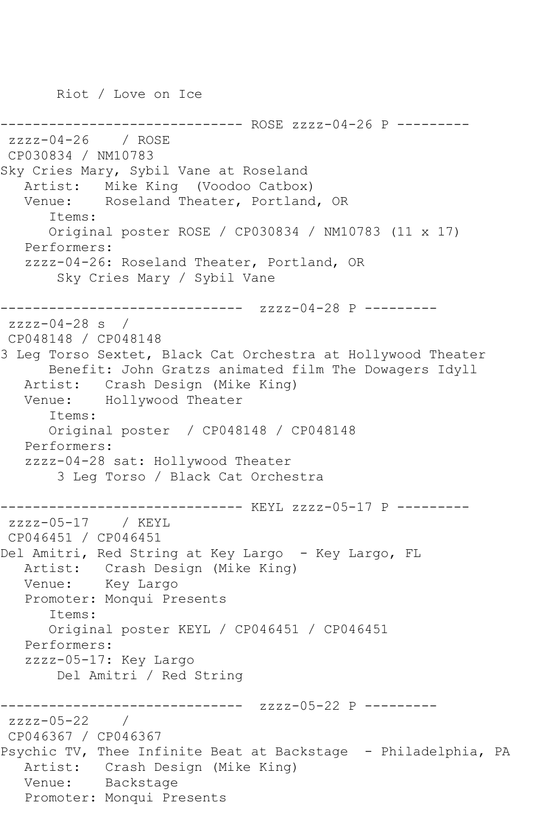Riot / Love on Ice

-------------- ROSE zzzz-04-26 P --------zzzz-04-26 / ROSE CP030834 / NM10783 Sky Cries Mary, Sybil Vane at Roseland Artist: Mike King (Voodoo Catbox) Venue: Roseland Theater, Portland, OR Items: Original poster ROSE / CP030834 / NM10783 (11 x 17) Performers: zzzz-04-26: Roseland Theater, Portland, OR Sky Cries Mary / Sybil Vane ------------------------------ zzzz-04-28 P --------  $zzzz-04-28$  s / CP048148 / CP048148 3 Leg Torso Sextet, Black Cat Orchestra at Hollywood Theater Benefit: John Gratzs animated film The Dowagers Idyll Artist: Crash Design (Mike King) Venue: Hollywood Theater Items: Original poster / CP048148 / CP048148 Performers: zzzz-04-28 sat: Hollywood Theater 3 Leg Torso / Black Cat Orchestra ------------------------------ KEYL zzzz-05-17 P -------- zzzz-05-17 / KEYL CP046451 / CP046451 Del Amitri, Red String at Key Largo - Key Largo, FL Artist: Crash Design (Mike King) Venue: Key Largo Promoter: Monqui Presents Items: Original poster KEYL / CP046451 / CP046451 Performers: zzzz-05-17: Key Largo Del Amitri / Red String ------------------------------ zzzz-05-22 P -------- zzzz-05-22 / CP046367 / CP046367 Psychic TV, Thee Infinite Beat at Backstage - Philadelphia, PA Artist: Crash Design (Mike King) Venue: Backstage Promoter: Monqui Presents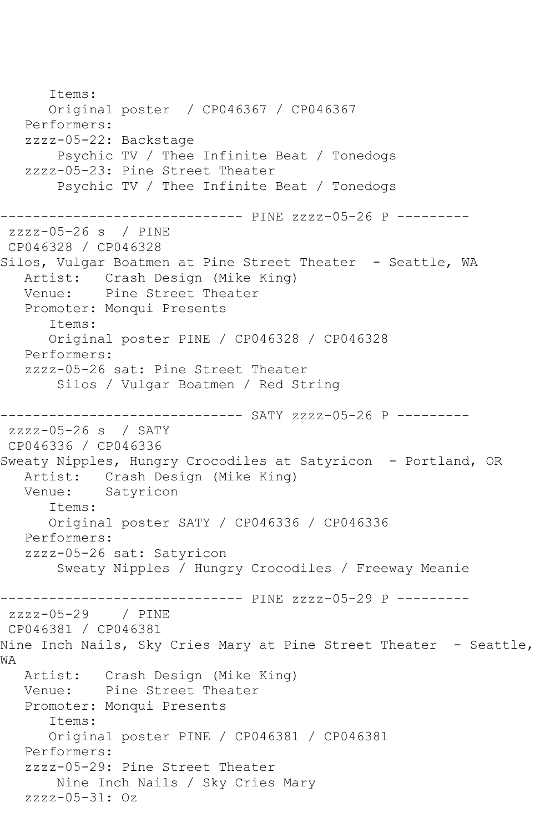Items: Original poster / CP046367 / CP046367 Performers: zzzz-05-22: Backstage Psychic TV / Thee Infinite Beat / Tonedogs zzzz-05-23: Pine Street Theater Psychic TV / Thee Infinite Beat / Tonedogs ------------------------------ PINE zzzz-05-26 P -------- zzzz-05-26 s / PINE CP046328 / CP046328 Silos, Vulgar Boatmen at Pine Street Theater - Seattle, WA Artist: Crash Design (Mike King) Venue: Pine Street Theater Promoter: Monqui Presents Items: Original poster PINE / CP046328 / CP046328 Performers: zzzz-05-26 sat: Pine Street Theater Silos / Vulgar Boatmen / Red String ------------------- SATY zzzz-05-26 P --------zzzz-05-26 s / SATY CP046336 / CP046336 Sweaty Nipples, Hungry Crocodiles at Satyricon - Portland, OR Artist: Crash Design (Mike King)<br>Venue: Satvricon Satyricon Items: Original poster SATY / CP046336 / CP046336 Performers: zzzz-05-26 sat: Satyricon Sweaty Nipples / Hungry Crocodiles / Freeway Meanie ------------------------------ PINE zzzz-05-29 P -------- zzzz-05-29 / PINE CP046381 / CP046381 Nine Inch Nails, Sky Cries Mary at Pine Street Theater - Seattle, WA Artist: Crash Design (Mike King) Venue: Pine Street Theater Promoter: Monqui Presents Items: Original poster PINE / CP046381 / CP046381 Performers: zzzz-05-29: Pine Street Theater Nine Inch Nails / Sky Cries Mary zzzz-05-31: Oz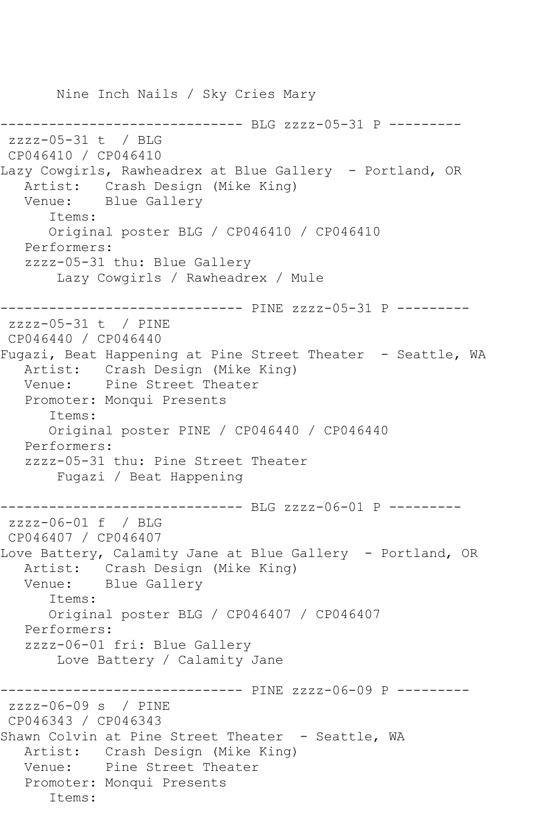Nine Inch Nails / Sky Cries Mary ------------------------------ BLG zzzz-05-31 P -------- zzzz-05-31 t / BLG CP046410 / CP046410 Lazy Cowgirls, Rawheadrex at Blue Gallery - Portland, OR Artist: Crash Design (Mike King) Venue: Blue Gallery Items: Original poster BLG / CP046410 / CP046410 Performers: zzzz-05-31 thu: Blue Gallery Lazy Cowgirls / Rawheadrex / Mule ------------------------------ PINE zzzz-05-31 P -------- zzzz-05-31 t / PINE CP046440 / CP046440 Fugazi, Beat Happening at Pine Street Theater - Seattle, WA Artist: Crash Design (Mike King) Venue: Pine Street Theater Promoter: Monqui Presents Items: Original poster PINE / CP046440 / CP046440 Performers: zzzz-05-31 thu: Pine Street Theater Fugazi / Beat Happening ------------------------------ BLG zzzz-06-01 P -------- zzzz-06-01 f / BLG CP046407 / CP046407 Love Battery, Calamity Jane at Blue Gallery - Portland, OR Artist: Crash Design (Mike King) Venue: Blue Gallery Items: Original poster BLG / CP046407 / CP046407 Performers: zzzz-06-01 fri: Blue Gallery Love Battery / Calamity Jane ------------------------------ PINE zzzz-06-09 P -------- zzzz-06-09 s / PINE CP046343 / CP046343 Shawn Colvin at Pine Street Theater - Seattle, WA Artist: Crash Design (Mike King) Venue: Pine Street Theater Promoter: Monqui Presents Items: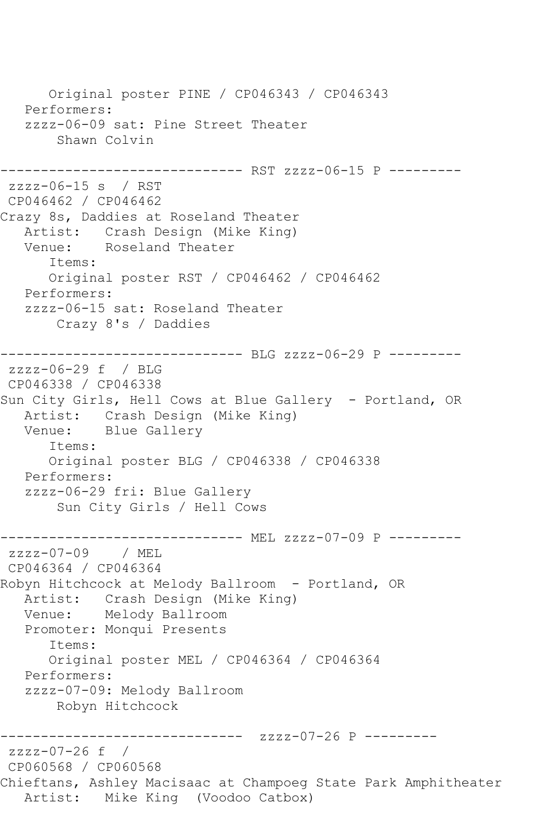Original poster PINE / CP046343 / CP046343 Performers: zzzz-06-09 sat: Pine Street Theater Shawn Colvin ------------------------------ RST zzzz-06-15 P -------- zzzz-06-15 s / RST CP046462 / CP046462 Crazy 8s, Daddies at Roseland Theater Artist: Crash Design (Mike King)<br>Venue: Roseland Theater Roseland Theater Items: Original poster RST / CP046462 / CP046462 Performers: zzzz-06-15 sat: Roseland Theater Crazy 8's / Daddies ------------------------------ BLG zzzz-06-29 P -------- zzzz-06-29 f / BLG CP046338 / CP046338 Sun City Girls, Hell Cows at Blue Gallery - Portland, OR Artist: Crash Design (Mike King) Venue: Blue Gallery Items: Original poster BLG / CP046338 / CP046338 Performers: zzzz-06-29 fri: Blue Gallery Sun City Girls / Hell Cows ------------------------------ MEL zzzz-07-09 P -------- zzzz-07-09 / MEL CP046364 / CP046364 Robyn Hitchcock at Melody Ballroom - Portland, OR Artist: Crash Design (Mike King) Venue: Melody Ballroom Promoter: Monqui Presents Items: Original poster MEL / CP046364 / CP046364 Performers: zzzz-07-09: Melody Ballroom Robyn Hitchcock ------------------------------ zzzz-07-26 P -------- zzzz-07-26 f / CP060568 / CP060568 Chieftans, Ashley Macisaac at Champoeg State Park Amphitheater Artist: Mike King (Voodoo Catbox)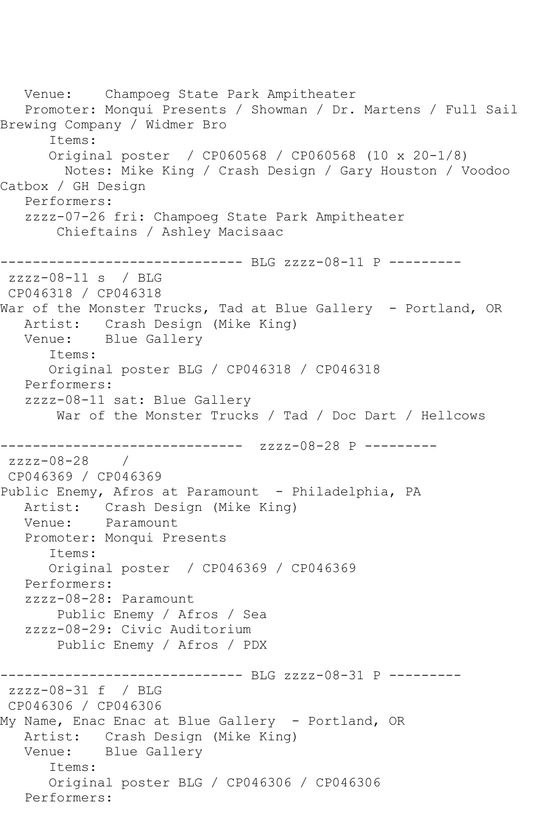Venue: Champoeg State Park Ampitheater Promoter: Monqui Presents / Showman / Dr. Martens / Full Sail Brewing Company / Widmer Bro Items: Original poster / CP060568 / CP060568 (10 x 20-1/8) Notes: Mike King / Crash Design / Gary Houston / Voodoo Catbox / GH Design Performers: zzzz-07-26 fri: Champoeg State Park Ampitheater Chieftains / Ashley Macisaac ----------------------------- BLG zzzz-08-11 P --------zzzz-08-11 s / BLG CP046318 / CP046318 War of the Monster Trucks, Tad at Blue Gallery - Portland, OR Artist: Crash Design (Mike King) Venue: Blue Gallery Items: Original poster BLG / CP046318 / CP046318 Performers: zzzz-08-11 sat: Blue Gallery War of the Monster Trucks / Tad / Doc Dart / Hellcows ------------------------------ zzzz-08-28 P -------- zzzz-08-28 / CP046369 / CP046369 Public Enemy, Afros at Paramount - Philadelphia, PA Artist: Crash Design (Mike King) Venue: Paramount Promoter: Monqui Presents Items: Original poster / CP046369 / CP046369 Performers: zzzz-08-28: Paramount Public Enemy / Afros / Sea zzzz-08-29: Civic Auditorium Public Enemy / Afros / PDX ------------------------------ BLG zzzz-08-31 P -------- zzzz-08-31 f / BLG CP046306 / CP046306 My Name, Enac Enac at Blue Gallery - Portland, OR Artist: Crash Design (Mike King) Venue: Blue Gallery Items: Original poster BLG / CP046306 / CP046306 Performers: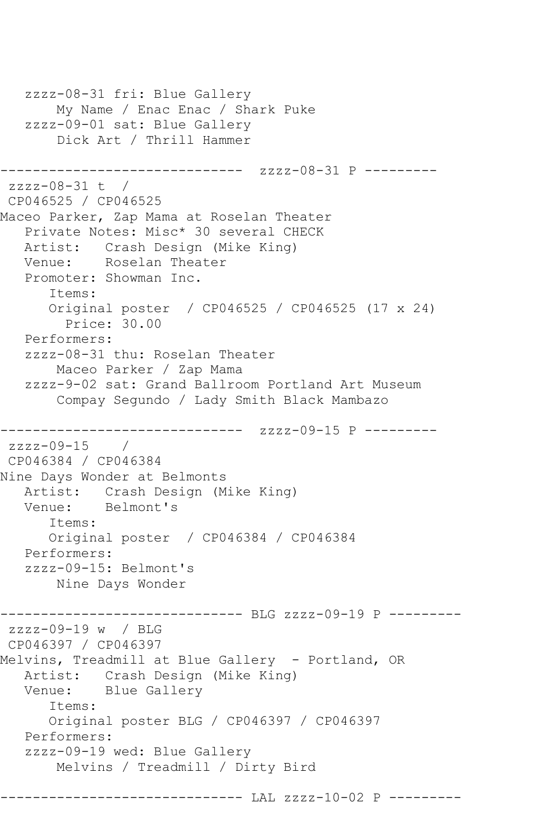```
 zzzz-08-31 fri: Blue Gallery
        My Name / Enac Enac / Shark Puke
    zzzz-09-01 sat: Blue Gallery
        Dick Art / Thrill Hammer
                ------------------------------ zzzz-08-31 P ---------
zzzz-08-31 t / 
CP046525 / CP046525
Maceo Parker, Zap Mama at Roselan Theater
    Private Notes: Misc* 30 several CHECK
   Artist: Crash Design (Mike King)
   Venue: Roselan Theater
    Promoter: Showman Inc.
       Items:
       Original poster / CP046525 / CP046525 (17 x 24)
         Price: 30.00
   Performers:
    zzzz-08-31 thu: Roselan Theater
        Maceo Parker / Zap Mama
    zzzz-9-02 sat: Grand Ballroom Portland Art Museum
        Compay Segundo / Lady Smith Black Mambazo
                  ------------- zzzz-09-15 P ---------
zzzz-09-15 / 
CP046384 / CP046384
Nine Days Wonder at Belmonts
   Artist: Crash Design (Mike King)
   Venue: Belmont's
       Items:
       Original poster / CP046384 / CP046384
   Performers:
    zzzz-09-15: Belmont's
        Nine Days Wonder
                    ----------- BLG zzzz-09-19 P ---------
zzzz-09-19 w / BLG 
CP046397 / CP046397
Melvins, Treadmill at Blue Gallery - Portland, OR
  Artist: Crash Design (Mike King)<br>Venue: Blue Gallery
           Blue Gallery
       Items:
       Original poster BLG / CP046397 / CP046397
   Performers:
   zzzz-09-19 wed: Blue Gallery
       Melvins / Treadmill / Dirty Bird
------------------------------ LAL zzzz-10-02 P ---------
```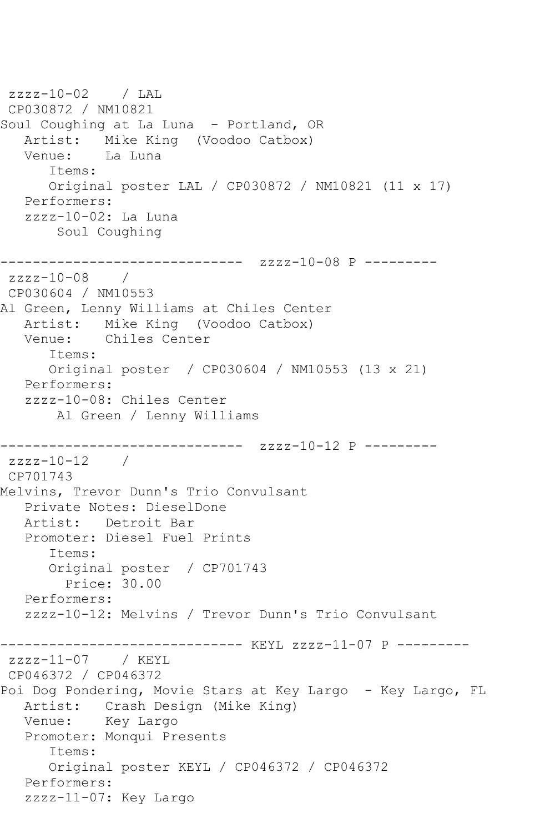```
zzzz-10-02 / LAL 
CP030872 / NM10821
Soul Coughing at La Luna - Portland, OR
  Artist: Mike King (Voodoo Catbox)<br>Venue: La Luna
           La Luna
      Items:
      Original poster LAL / CP030872 / NM10821 (11 x 17)
   Performers:
   zzzz-10-02: La Luna
        Soul Coughing
------------------------------ zzzz-10-08 P ---------
zzzz-10-08 / 
CP030604 / NM10553
Al Green, Lenny Williams at Chiles Center
   Artist: Mike King (Voodoo Catbox)
   Venue: Chiles Center
       Items:
       Original poster / CP030604 / NM10553 (13 x 21)
   Performers:
   zzzz-10-08: Chiles Center
        Al Green / Lenny Williams
------------------------------ zzzz-10-12 P ---------
zzzz-10-12 / 
CP701743
Melvins, Trevor Dunn's Trio Convulsant
   Private Notes: DieselDone
   Artist: Detroit Bar
   Promoter: Diesel Fuel Prints
       Items:
       Original poster / CP701743
         Price: 30.00
   Performers:
   zzzz-10-12: Melvins / Trevor Dunn's Trio Convulsant
------------------------------ KEYL zzzz-11-07 P ---------
zzzz-11-07 / KEYL 
CP046372 / CP046372
Poi Dog Pondering, Movie Stars at Key Largo - Key Largo, FL
   Artist: Crash Design (Mike King)
   Venue: Key Largo
   Promoter: Monqui Presents
       Items:
      Original poster KEYL / CP046372 / CP046372
   Performers:
   zzzz-11-07: Key Largo
```